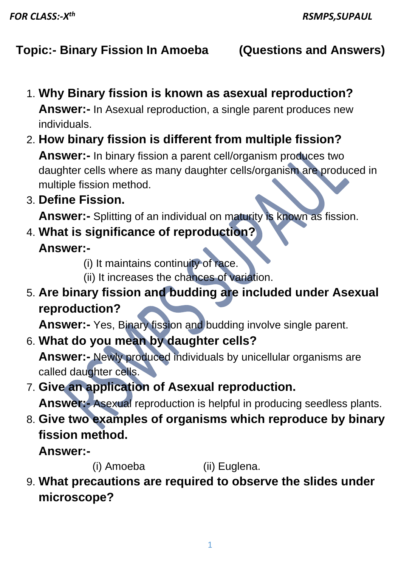## **Topic:- Binary Fission In Amoeba (Questions and Answers)**

- 1. **Why Binary fission is known as asexual reproduction? Answer:-** In Asexual reproduction, a single parent produces new individuals.
- 2. **How binary fission is different from multiple fission?**

**Answer:-** In binary fission a parent cell/organism produces two daughter cells where as many daughter cells/organism are produced in multiple fission method.

3. **Define Fission.**

**Answer:-** Splitting of an individual on maturity is known as fission.

- 4. **What is significance of reproduction? Answer:-**
	- (i) It maintains continuity of race.
	- (ii) It increases the chances of variation.
- 5. **Are binary fission and budding are included under Asexual reproduction?**

**Answer:-** Yes, Binary fission and budding involve single parent.

6. **What do you mean by daughter cells?**

**Answer:-** Newly produced individuals by unicellular organisms are called daughter cells.

7. **Give an application of Asexual reproduction.**

**Answer:-** Asexual reproduction is helpful in producing seedless plants.

8. **Give two examples of organisms which reproduce by binary fission method.**

**Answer:-**

(i) Amoeba (ii) Euglena.

9. **What precautions are required to observe the slides under microscope?**